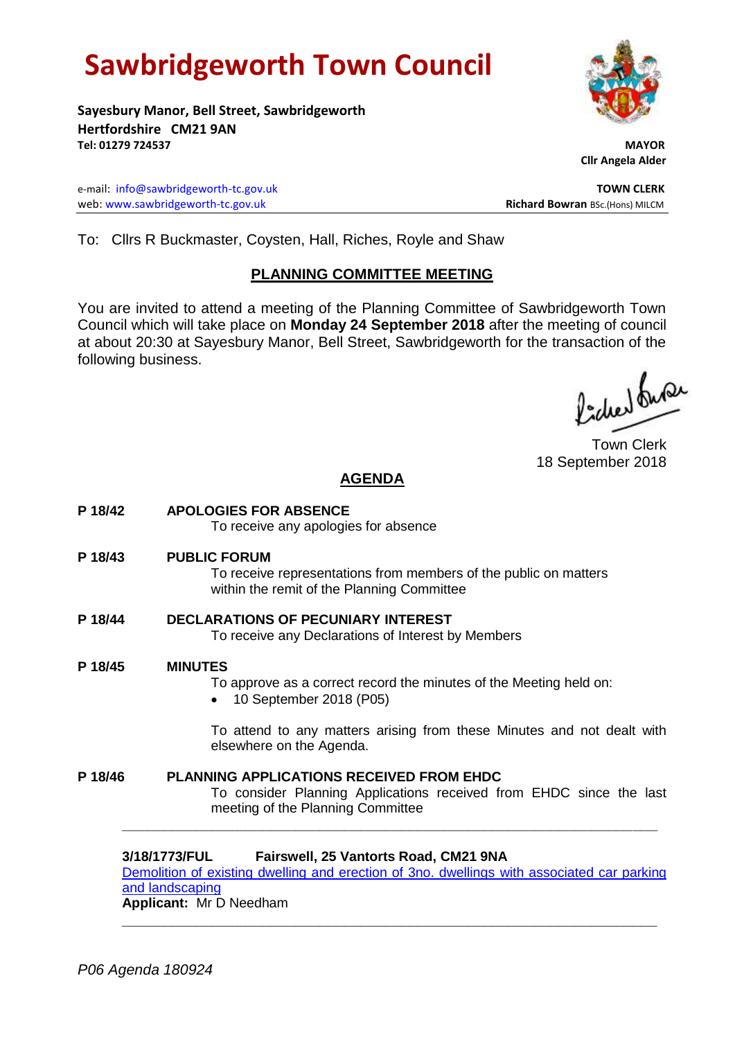# **Sawbridgeworth Town Council**

**Sayesbury Manor, Bell Street, Sawbridgeworth Hertfordshire CM21 9AN Tel: 01279 724537 MAYOR**

e-mail: [info@sawbridgeworth-tc.gov.uk](mailto:info@sawbridgeworth-tc.gov.uk) **TOWN CLERK** web: www.sawbridgeworth-tc.gov.uk **Richard Bowran** BSc.(Hons) MILCM

 **Cllr Angela Alder**

To: Cllrs R Buckmaster, Coysten, Hall, Riches, Royle and Shaw

## **PLANNING COMMITTEE MEETING**

You are invited to attend a meeting of the Planning Committee of Sawbridgeworth Town Council which will take place on **Monday 24 September 2018** after the meeting of council at about 20:30 at Sayesbury Manor, Bell Street, Sawbridgeworth for the transaction of the following business.

fides fuse

Town Clerk 18 September 2018

## **AGENDA**

**P 18/42 APOLOGIES FOR ABSENCE** To receive any apologies for absence **P 18/43 PUBLIC FORUM** To receive representations from members of the public on matters within the remit of the Planning Committee **P 18/44 DECLARATIONS OF PECUNIARY INTEREST** To receive any Declarations of Interest by Members **P 18/45 MINUTES** To approve as a correct record the minutes of the Meeting held on: • 10 September 2018 (P05) To attend to any matters arising from these Minutes and not dealt with elsewhere on the Agenda. **P 18/46 PLANNING APPLICATIONS RECEIVED FROM EHDC** To consider Planning Applications received from EHDC since the last meeting of the Planning Committee

**3/18/1773/FUL Fairswell, 25 Vantorts Road, CM21 9NA** [Demolition of existing dwelling and erection of 3no. dwellings](https://publicaccess.eastherts.gov.uk/online-applications/applicationDetails.do?activeTab=documents&keyVal=PCU9RCGLN5B00) with associated car parking [and landscaping](https://publicaccess.eastherts.gov.uk/online-applications/applicationDetails.do?activeTab=documents&keyVal=PCU9RCGLN5B00)

**\_\_\_\_\_\_\_\_\_\_\_\_\_\_\_\_\_\_\_\_\_\_\_\_\_\_\_\_\_\_\_\_\_\_\_\_\_\_\_\_\_\_\_\_\_\_\_\_\_\_\_\_\_\_\_\_\_\_\_\_\_\_\_\_\_**

**\_\_\_\_\_\_\_\_\_\_\_\_\_\_\_\_\_\_\_\_\_\_\_\_\_\_\_\_\_\_\_\_\_\_\_\_\_\_\_\_\_\_\_\_\_\_\_\_\_\_\_\_\_\_\_\_\_\_\_\_\_\_\_\_\_**

**Applicant:** Mr D Needham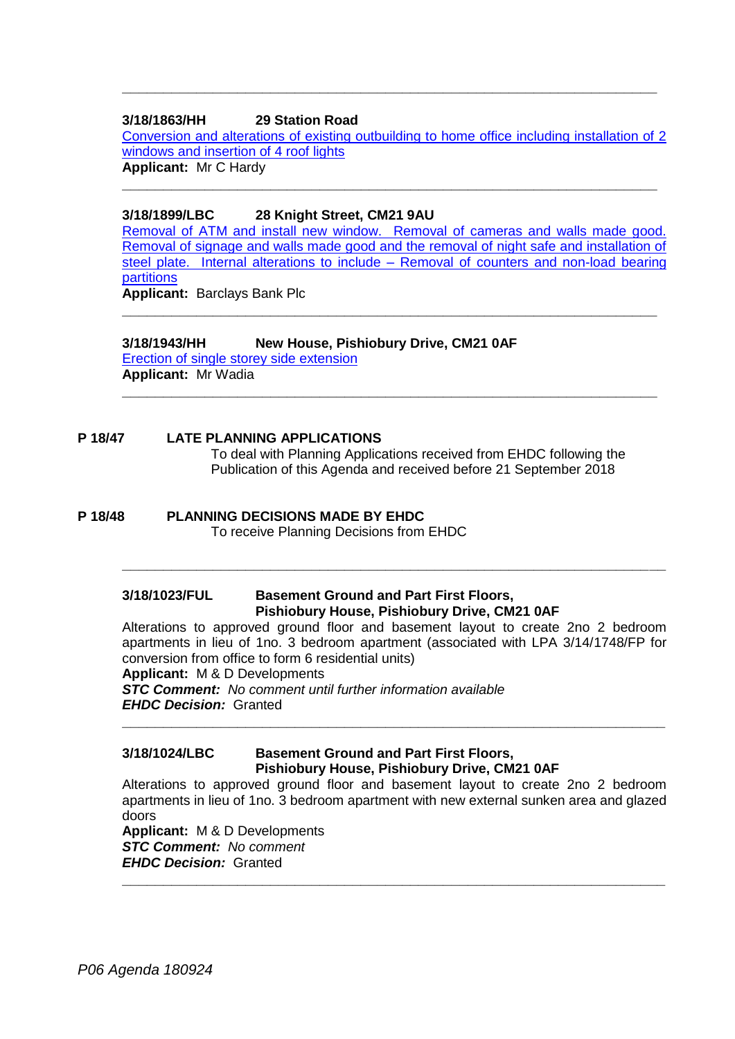### **3/18/1863/HH 29 Station Road**

[Conversion and alterations of existing outbuilding to home office including installation of 2](https://publicaccess.eastherts.gov.uk/online-applications/applicationDetails.do?activeTab=documents&keyVal=PDK74YGLFLI00)  [windows and insertion of 4 roof lights](https://publicaccess.eastherts.gov.uk/online-applications/applicationDetails.do?activeTab=documents&keyVal=PDK74YGLFLI00) **Applicant:** Mr C Hardy

**\_\_\_\_\_\_\_\_\_\_\_\_\_\_\_\_\_\_\_\_\_\_\_\_\_\_\_\_\_\_\_\_\_\_\_\_\_\_\_\_\_\_\_\_\_\_\_\_\_\_\_\_\_\_\_\_\_\_\_\_\_\_\_\_\_**

**\_\_\_\_\_\_\_\_\_\_\_\_\_\_\_\_\_\_\_\_\_\_\_\_\_\_\_\_\_\_\_\_\_\_\_\_\_\_\_\_\_\_\_\_\_\_\_\_\_\_\_\_\_\_\_\_\_\_\_\_\_\_\_\_\_**

#### **3/18/1899/LBC 28 Knight Street, CM21 9AU**

[Removal of ATM and install new window. Removal of cameras and walls made good.](https://publicaccess.eastherts.gov.uk/online-applications/applicationDetails.do?activeTab=documents&keyVal=PDTGFVGLFNQ00)  [Removal of signage and walls made good and the removal of night safe and installation of](https://publicaccess.eastherts.gov.uk/online-applications/applicationDetails.do?activeTab=documents&keyVal=PDTGFVGLFNQ00)  [steel plate. Internal alterations to include –](https://publicaccess.eastherts.gov.uk/online-applications/applicationDetails.do?activeTab=documents&keyVal=PDTGFVGLFNQ00) Removal of counters and non-load bearing [partitions](https://publicaccess.eastherts.gov.uk/online-applications/applicationDetails.do?activeTab=documents&keyVal=PDTGFVGLFNQ00)

**\_\_\_\_\_\_\_\_\_\_\_\_\_\_\_\_\_\_\_\_\_\_\_\_\_\_\_\_\_\_\_\_\_\_\_\_\_\_\_\_\_\_\_\_\_\_\_\_\_\_\_\_\_\_\_\_\_\_\_\_\_\_\_\_\_**

**Applicant:** Barclays Bank Plc

## **3/18/1943/HH New House, Pishiobury Drive, CM21 0AF**

[Erection of single storey side extension](https://publicaccess.eastherts.gov.uk/online-applications/applicationDetails.do?activeTab=documents&keyVal=PE6F3KGLFRA00) **Applicant:** Mr Wadia **\_\_\_\_\_\_\_\_\_\_\_\_\_\_\_\_\_\_\_\_\_\_\_\_\_\_\_\_\_\_\_\_\_\_\_\_\_\_\_\_\_\_\_\_\_\_\_\_\_\_\_\_\_\_\_\_\_\_\_\_\_\_\_\_\_**

#### **P 18/47 LATE PLANNING APPLICATIONS**

To deal with Planning Applications received from EHDC following the Publication of this Agenda and received before 21 September 2018

## **P 18/48 PLANNING DECISIONS MADE BY EHDC**

To receive Planning Decisions from EHDC

## **3/18/1023/FUL Basement Ground and Part First Floors, Pishiobury House, Pishiobury Drive, CM21 0AF**

Alterations to approved ground floor and basement layout to create 2no 2 bedroom apartments in lieu of 1no. 3 bedroom apartment (associated with LPA 3/14/1748/FP for conversion from office to form 6 residential units)

**\_\_\_\_\_\_\_\_\_\_\_\_\_\_\_\_\_\_\_\_\_\_\_\_\_\_\_\_\_\_\_\_\_\_\_\_\_\_\_\_\_\_\_\_\_\_\_\_\_\_\_\_\_\_\_\_\_\_\_\_\_\_\_\_\_\_**

**\_\_\_\_\_\_\_\_\_\_\_\_\_\_\_\_\_\_\_\_\_\_\_\_\_\_\_\_\_\_\_\_\_\_\_\_\_\_\_\_\_\_\_\_\_\_\_\_\_\_\_\_\_\_\_\_\_\_\_\_\_\_\_\_\_\_**

**Applicant:** M & D Developments

*STC Comment: No comment until further information available EHDC Decision:* Granted

## **3/18/1024/LBC Basement Ground and Part First Floors, Pishiobury House, Pishiobury Drive, CM21 0AF**

Alterations to approved ground floor and basement layout to create 2no 2 bedroom apartments in lieu of 1no. 3 bedroom apartment with new external sunken area and glazed doors

**Applicant:** M & D Developments *STC Comment: No comment EHDC Decision:* Granted **\_\_\_\_\_\_\_\_\_\_\_\_\_\_\_\_\_\_\_\_\_\_\_\_\_\_\_\_\_\_\_\_\_\_\_\_\_\_\_\_\_\_\_\_\_\_\_\_\_\_\_\_\_\_\_\_\_\_\_\_\_\_\_\_\_\_**